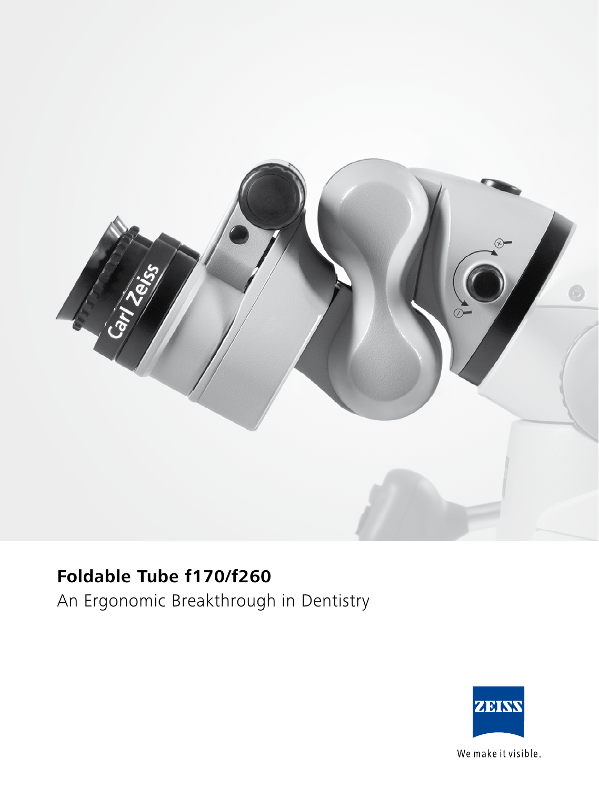

# **Foldable Tube f170/f260**

An Ergonomic Breakthrough in Dentistry



We make it visible.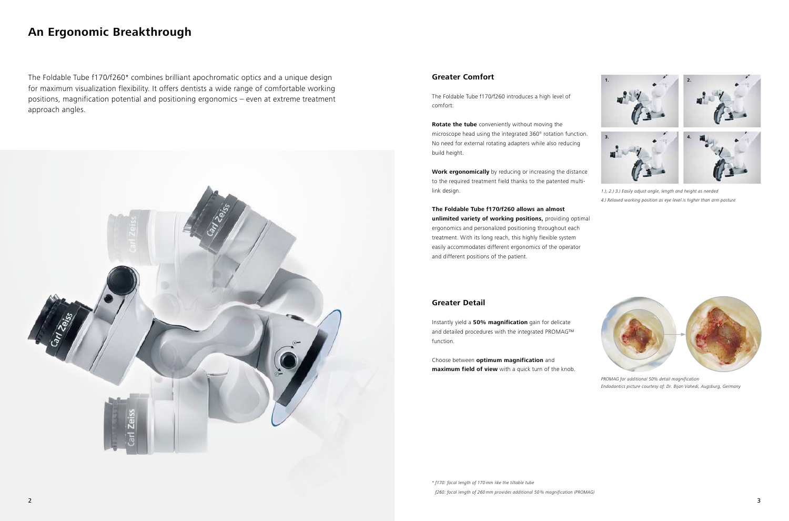The Foldable Tube f170/f260\* combines brilliant apochromatic optics and a unique design for maximum visualization flexibility. It offers dentists a wide range of comfortable working positions, magnification potential and positioning ergonomics – even at extreme treatment approach angles.



# **Greater Comfort**

The Foldable Tube f170/f260 introduces a high level of comfort:

**Rotate the tube** conveniently without moving the microscope head using the integrated 360° rotation function. No need for external rotating adapters while also reducing build height.

**Work ergonomically** by reducing or increasing the distance to the required treatment field thanks to the patented multilink design.

**The Foldable Tube f170/f260 allows an almost unlimited variety of working positions,** providing optimal ergonomics and personalized positioning throughout each treatment. With its long reach, this highly flexible system easily accommodates different ergonomics of the operator and different positions of the patient.

# **Greater Detail**

Instantly yield a **50% magnification** gain for delicate and detailed procedures with the integrated PROMAG™ function.



*1.), 2.) 3.) Easily adjust angle, length and height as needed 4.) Relaxed working position as eye level is higher than arm posture*

Choose between **optimum magnification** and **maximum field of view** with a quick turn of the knob.



*PROMAG for additional 50% detail magnification Endodontics picture courtesy of: Dr. Bijan Vahedi, Augsburg, Germany*

# **An Ergonomic Breakthrough**